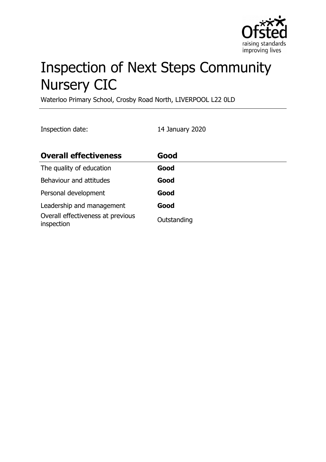

# Inspection of Next Steps Community Nursery CIC

Waterloo Primary School, Crosby Road North, LIVERPOOL L22 0LD

Inspection date: 14 January 2020

| <b>Overall effectiveness</b>                    | Good        |
|-------------------------------------------------|-------------|
| The quality of education                        | Good        |
| Behaviour and attitudes                         | Good        |
| Personal development                            | Good        |
| Leadership and management                       | Good        |
| Overall effectiveness at previous<br>inspection | Outstanding |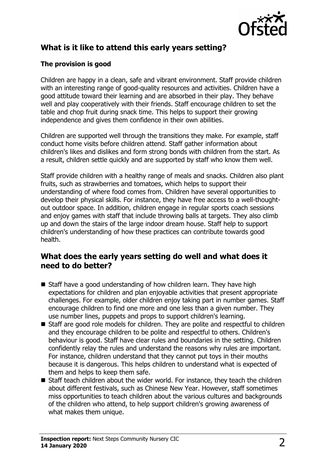

# **What is it like to attend this early years setting?**

### **The provision is good**

Children are happy in a clean, safe and vibrant environment. Staff provide children with an interesting range of good-quality resources and activities. Children have a good attitude toward their learning and are absorbed in their play. They behave well and play cooperatively with their friends. Staff encourage children to set the table and chop fruit during snack time. This helps to support their growing independence and gives them confidence in their own abilities.

Children are supported well through the transitions they make. For example, staff conduct home visits before children attend. Staff gather information about children's likes and dislikes and form strong bonds with children from the start. As a result, children settle quickly and are supported by staff who know them well.

Staff provide children with a healthy range of meals and snacks. Children also plant fruits, such as strawberries and tomatoes, which helps to support their understanding of where food comes from. Children have several opportunities to develop their physical skills. For instance, they have free access to a well-thoughtout outdoor space. In addition, children engage in regular sports coach sessions and enjoy games with staff that include throwing balls at targets. They also climb up and down the stairs of the large indoor dream house. Staff help to support children's understanding of how these practices can contribute towards good health.

## **What does the early years setting do well and what does it need to do better?**

- $\blacksquare$  Staff have a good understanding of how children learn. They have high expectations for children and plan enjoyable activities that present appropriate challenges. For example, older children enjoy taking part in number games. Staff encourage children to find one more and one less than a given number. They use number lines, puppets and props to support children's learning.
- $\blacksquare$  Staff are good role models for children. They are polite and respectful to children and they encourage children to be polite and respectful to others. Children's behaviour is good. Staff have clear rules and boundaries in the setting. Children confidently relay the rules and understand the reasons why rules are important. For instance, children understand that they cannot put toys in their mouths because it is dangerous. This helps children to understand what is expected of them and helps to keep them safe.
- Staff teach children about the wider world. For instance, they teach the children about different festivals, such as Chinese New Year. However, staff sometimes miss opportunities to teach children about the various cultures and backgrounds of the children who attend, to help support children's growing awareness of what makes them unique.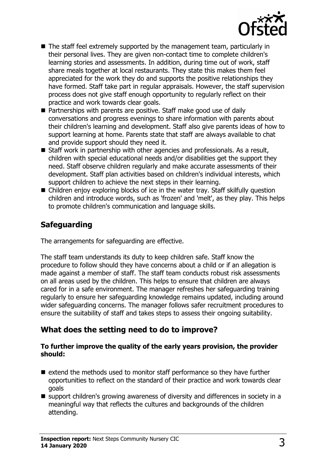

- $\blacksquare$  The staff feel extremely supported by the management team, particularly in their personal lives. They are given non-contact time to complete children's learning stories and assessments. In addition, during time out of work, staff share meals together at local restaurants. They state this makes them feel appreciated for the work they do and supports the positive relationships they have formed. Staff take part in regular appraisals. However, the staff supervision process does not give staff enough opportunity to regularly reflect on their practice and work towards clear goals.
- $\blacksquare$  Partnerships with parents are positive. Staff make good use of daily conversations and progress evenings to share information with parents about their children's learning and development. Staff also give parents ideas of how to support learning at home. Parents state that staff are always available to chat and provide support should they need it.
- $\blacksquare$  Staff work in partnership with other agencies and professionals. As a result, children with special educational needs and/or disabilities get the support they need. Staff observe children regularly and make accurate assessments of their development. Staff plan activities based on children's individual interests, which support children to achieve the next steps in their learning.
- $\blacksquare$  Children enjoy exploring blocks of ice in the water tray. Staff skilfully question children and introduce words, such as 'frozen' and 'melt', as they play. This helps to promote children's communication and language skills.

## **Safeguarding**

The arrangements for safeguarding are effective.

The staff team understands its duty to keep children safe. Staff know the procedure to follow should they have concerns about a child or if an allegation is made against a member of staff. The staff team conducts robust risk assessments on all areas used by the children. This helps to ensure that children are always cared for in a safe environment. The manager refreshes her safeguarding training regularly to ensure her safeguarding knowledge remains updated, including around wider safeguarding concerns. The manager follows safer recruitment procedures to ensure the suitability of staff and takes steps to assess their ongoing suitability.

## **What does the setting need to do to improve?**

#### **To further improve the quality of the early years provision, the provider should:**

- $\blacksquare$  extend the methods used to monitor staff performance so they have further opportunities to reflect on the standard of their practice and work towards clear goals
- $\blacksquare$  support children's growing awareness of diversity and differences in society in a meaningful way that reflects the cultures and backgrounds of the children attending.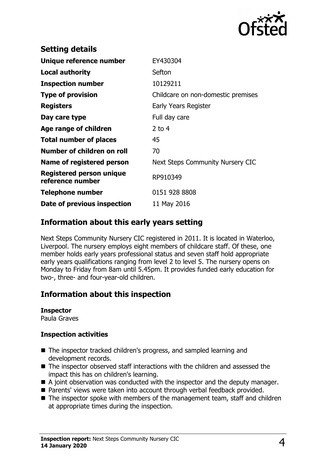

| <b>Setting details</b>                              |                                    |
|-----------------------------------------------------|------------------------------------|
| Unique reference number                             | EY430304                           |
| <b>Local authority</b>                              | Sefton                             |
| <b>Inspection number</b>                            | 10129211                           |
| <b>Type of provision</b>                            | Childcare on non-domestic premises |
| <b>Registers</b>                                    | Early Years Register               |
| Day care type                                       | Full day care                      |
| Age range of children                               | $2$ to 4                           |
| <b>Total number of places</b>                       | 45                                 |
| Number of children on roll                          | 70                                 |
| Name of registered person                           | Next Steps Community Nursery CIC   |
| <b>Registered person unique</b><br>reference number | RP910349                           |
| <b>Telephone number</b>                             | 0151 928 8808                      |
| Date of previous inspection                         | 11 May 2016                        |

## **Information about this early years setting**

Next Steps Community Nursery CIC registered in 2011. It is located in Waterloo, Liverpool. The nursery employs eight members of childcare staff. Of these, one member holds early years professional status and seven staff hold appropriate early years qualifications ranging from level 2 to level 5. The nursery opens on Monday to Friday from 8am until 5.45pm. It provides funded early education for two-, three- and four-year-old children.

## **Information about this inspection**

#### **Inspector**

Paula Graves

#### **Inspection activities**

- The inspector tracked children's progress, and sampled learning and development records.
- $\blacksquare$  The inspector observed staff interactions with the children and assessed the impact this has on children's learning.
- $\blacksquare$  A joint observation was conducted with the inspector and the deputy manager.
- Parents' views were taken into account through verbal feedback provided.
- $\blacksquare$  The inspector spoke with members of the management team, staff and children at appropriate times during the inspection.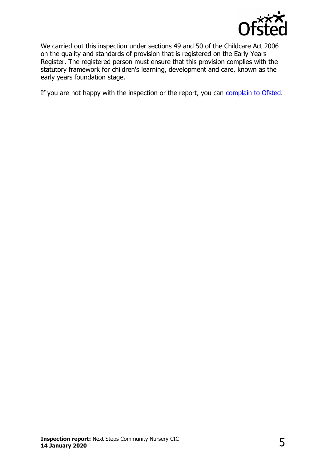

We carried out this inspection under sections 49 and 50 of the Childcare Act 2006 on the quality and standards of provision that is registered on the Early Years Register. The registered person must ensure that this provision complies with the statutory framework for children's learning, development and care, known as the early years foundation stage.

If you are not happy with the inspection or the report, you can [complain to Ofsted.](http://www.gov.uk/complain-ofsted-report)